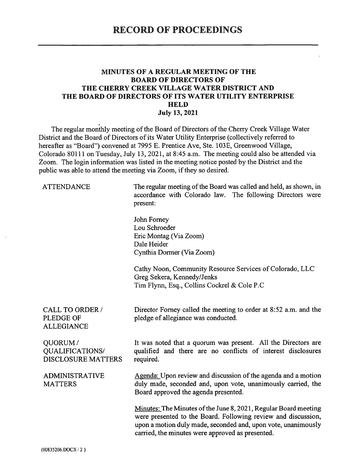#### **MINUTES OF A REGULAR MEETING OF THE BOARD OF DIRECTORS OF** THE CHERRY CREEK VILLAGE WATER DISTRICT AND THE BOARD OF DIRECTORS OF ITS WATER UTILITY ENTERPRISE **HELD July 13, 2021**

The regular monthly meeting of the Board of Directors of the Cherry Creek Village Water District and the Board of Directors of its Water Utility Enterprise (collectively referred to hereafter as "Board") convened at 7995 E. Prentice Ave, Ste. 103E, Greenwood Village, Colorado 80111 on Tuesday, July 13, 2021, at 8:45 a.m. The meeting could also be attended via Zoom. The login information was listed in the meeting notice posted by the District and the public was able to attend the meeting via Zoom, if they so desired.

#### **ATTENDANCE**

The regular meeting of the Board was called and held, as shown, in accordance with Colorado law. The following Directors were present:

John Forney Lou Schroeder Eric Montag (Via Zoom) Dale Heider Cynthia Dormer (Via Zoom)

Cathy Noon, Community Resource Services of Colorado, LLC Greg Sekera, Kennedy/Jenks Tim Flynn, Esq., Collins Cockrel & Cole P.C

#### **CALL TO ORDER /** PLEDGE OF **ALLEGIANCE**

Director Forney called the meeting to order at 8:52 a.m. and the pledge of allegiance was conducted.

#### QUORUM/ **OUALIFICATIONS/ DISCLOSURE MATTERS**

**ADMINISTRATIVE MATTERS** 

It was noted that a quorum was present. All the Directors are qualified and there are no conflicts of interest disclosures required.

Agenda: Upon review and discussion of the agenda and a motion duly made, seconded and, upon vote, unanimously carried, the Board approved the agenda presented.

Minutes: The Minutes of the June 8, 2021, Regular Board meeting were presented to the Board. Following review and discussion, upon a motion duly made, seconded and, upon vote, unanimously carried, the minutes were approved as presented.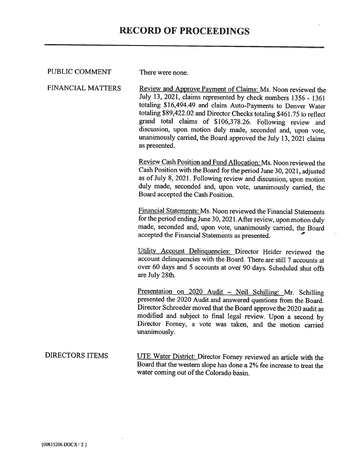| PUBLIC COMMENT         | There were none.                                                                                                                                                                                                                                                                                                                                                                                                                                                                       |  |  |  |  |
|------------------------|----------------------------------------------------------------------------------------------------------------------------------------------------------------------------------------------------------------------------------------------------------------------------------------------------------------------------------------------------------------------------------------------------------------------------------------------------------------------------------------|--|--|--|--|
| FINANCIAL MATTERS      | Review and Approve Payment of Claims: Ms. Noon reviewed the<br>July 13, 2021, claims represented by check numbers 1356 - 1361<br>totaling \$16,494.49 and claim Auto-Payments to Denver Water<br>totaling \$89,422.02 and Director Checks totaling \$461.75 to reflect<br>grand total claims of \$106,378.26. Following review and<br>discussion, upon motion duly made, seconded and, upon vote,<br>unanimously carried, the Board approved the July 13, 2021 claims<br>as presented. |  |  |  |  |
|                        | Review Cash Position and Fund Allocation: Ms. Noon reviewed the<br>Cash Position with the Board for the period June 30, 2021, adjusted<br>as of July 8, 2021. Following review and discussion, upon motion<br>duly made, seconded and, upon vote, unanimously carried, the<br>Board accepted the Cash Position.                                                                                                                                                                        |  |  |  |  |
|                        | Financial Statements: Ms. Noon reviewed the Financial Statements<br>for the period ending June 30, 2021. After review, upon motion duly<br>made, seconded and, upon vote, unanimously carried, the Board<br>accepted the Financial Statements as presented.                                                                                                                                                                                                                            |  |  |  |  |
|                        | Utility Account Delinquencies: Director Heider reviewed the<br>account delinquencies with the Board. There are still 7 accounts at<br>over 60 days and 5 accounts at over 90 days. Scheduled shut offs<br>are July 28th.                                                                                                                                                                                                                                                               |  |  |  |  |
|                        | Presentation on 2020 Audit - Neil Schilling: Mr. Schilling<br>presented the 2020 Audit and answered questions from the Board.<br>Director Schroeder moved that the Board approve the 2020 audit as<br>modified and subject to final legal review. Upon a second by<br>Director Forney, a vote was taken, and the motion carried<br>unanimously.                                                                                                                                        |  |  |  |  |
| <b>DIRECTORS ITEMS</b> | UTE Water District: Director Forney reviewed an article with the<br>Board that the western slope has done a 2% fee increase to treat the<br>water coming out of the Colorado basin.                                                                                                                                                                                                                                                                                                    |  |  |  |  |

×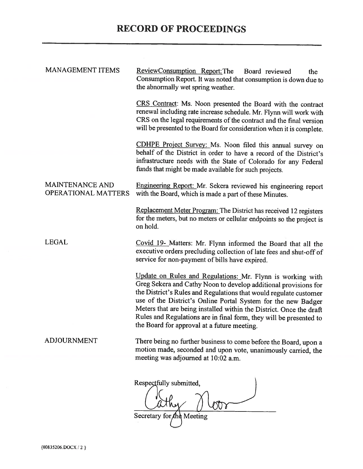# **RECORD OF PROCEEDINGS**

| <b>MANAGEMENT ITEMS</b>                       | ReviewConsumption Report: The<br>Board reviewed<br>the<br>Consumption Report. It was noted that consumption is down due to<br>the abnormally wet spring weather.                                                                                                                                                                                                                                                                                                |  |  |  |  |  |
|-----------------------------------------------|-----------------------------------------------------------------------------------------------------------------------------------------------------------------------------------------------------------------------------------------------------------------------------------------------------------------------------------------------------------------------------------------------------------------------------------------------------------------|--|--|--|--|--|
|                                               | CRS Contract: Ms. Noon presented the Board with the contract<br>renewal including rate increase schedule. Mr. Flynn will work with<br>CRS on the legal requirements of the contract and the final version<br>will be presented to the Board for consideration when it is complete.                                                                                                                                                                              |  |  |  |  |  |
|                                               | CDHPE Project Survey: Ms. Noon filed this annual survey on<br>behalf of the District in order to have a record of the District's<br>infrastructure needs with the State of Colorado for any Federal<br>funds that might be made available for such projects.                                                                                                                                                                                                    |  |  |  |  |  |
| MAINTENANCE AND<br><b>OPERATIONAL MATTERS</b> | Engineering Report: Mr. Sekera reviewed his engineering report<br>with the Board, which is made a part of these Minutes.                                                                                                                                                                                                                                                                                                                                        |  |  |  |  |  |
|                                               | Replacement Meter Program: The District has received 12 registers<br>for the meters, but no meters or cellular endpoints so the project is<br>on hold.                                                                                                                                                                                                                                                                                                          |  |  |  |  |  |
| <b>LEGAL</b>                                  | Covid 19- Matters: Mr. Flynn informed the Board that all the<br>executive orders precluding collection of late fees and shut-off of<br>service for non-payment of bills have expired.                                                                                                                                                                                                                                                                           |  |  |  |  |  |
|                                               | Update on Rules and Regulations: Mr. Flynn is working with<br>Greg Sekera and Cathy Noon to develop additional provisions for<br>the District's Rules and Regulations that would regulate customer<br>use of the District's Online Portal System for the new Badger<br>Meters that are being installed within the District. Once the draft<br>Rules and Regulations are in final form, they will be presented to<br>the Board for approval at a future meeting. |  |  |  |  |  |
| <b>ADJOURNMENT</b>                            | There being no further business to come before the Board, upon a<br>motion made, seconded and upon vote, unanimously carried, the<br>meeting was adjourned at 10:02 a.m.                                                                                                                                                                                                                                                                                        |  |  |  |  |  |
|                                               |                                                                                                                                                                                                                                                                                                                                                                                                                                                                 |  |  |  |  |  |
|                                               | Respectfully submitted,                                                                                                                                                                                                                                                                                                                                                                                                                                         |  |  |  |  |  |
|                                               |                                                                                                                                                                                                                                                                                                                                                                                                                                                                 |  |  |  |  |  |
|                                               | Secretary for the Meeting                                                                                                                                                                                                                                                                                                                                                                                                                                       |  |  |  |  |  |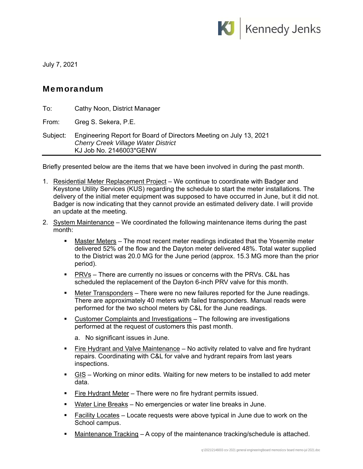

July 7, 2021

## Memorandum

| To:      | Cathy Noon, District Manager                                                                                                                |
|----------|---------------------------------------------------------------------------------------------------------------------------------------------|
| From:    | Greg S. Sekera, P.E.                                                                                                                        |
| Subject: | Engineering Report for Board of Directors Meeting on July 13, 2021<br><b>Cherry Creek Village Water District</b><br>KJ Job No. 2146003*GENW |

Briefly presented below are the items that we have been involved in during the past month.

- 1. Residential Meter Replacement Project We continue to coordinate with Badger and Keystone Utility Services (KUS) regarding the schedule to start the meter installations. The delivery of the initial meter equipment was supposed to have occurred in June, but it did not. Badger is now indicating that they cannot provide an estimated delivery date. I will provide an update at the meeting.
- 2. System Maintenance We coordinated the following maintenance items during the past month:
	- Master Meters The most recent meter readings indicated that the Yosemite meter delivered 52% of the flow and the Dayton meter delivered 48%. Total water supplied to the District was 20.0 MG for the June period (approx. 15.3 MG more than the prior period).
	- **PRVs** There are currently no issues or concerns with the PRVs. C&L has scheduled the replacement of the Dayton 6-inch PRV valve for this month.
	- **Meter Transponders** There were no new failures reported for the June readings. There are approximately 40 meters with failed transponders. Manual reads were performed for the two school meters by C&L for the June readings.
	- Customer Complaints and Investigations The following are investigations performed at the request of customers this past month.
		- a. No significant issues in June.
	- **Fire Hydrant and Valve Maintenance** No activity related to valve and fire hydrant repairs. Coordinating with C&L for valve and hydrant repairs from last years inspections.
	- GIS Working on minor edits. Waiting for new meters to be installed to add meter data.
	- **Fire Hydrant Meter** There were no fire hydrant permits issued.
	- Water Line Breaks No emergencies or water line breaks in June.
	- Facility Locates Locate requests were above typical in June due to work on the School campus.
	- Maintenance Tracking A copy of the maintenance tracking/schedule is attached.